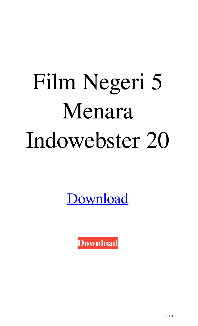## Film Negeri 5 Menara Indowebster 20

[Download](http://evacdir.com/ZG93bmxvYWR8Sm03TnpZNWZId3hOalV5TkRZek1EVXdmSHd5TlRjMGZId29UU2tnY21WaFpDMWliRzluSUZ0R1lYTjBJRWRGVGww/gullibility?adirondack=RmlsbSBOZWdlcmkgNSBNZW5hcmEgSW5kb3dlYnN0ZXIgMjARml.neustedt.prodietpills)

**[Download](http://evacdir.com/ZG93bmxvYWR8Sm03TnpZNWZId3hOalV5TkRZek1EVXdmSHd5TlRjMGZId29UU2tnY21WaFpDMWliRzluSUZ0R1lYTjBJRWRGVGww/gullibility?adirondack=RmlsbSBOZWdlcmkgNSBNZW5hcmEgSW5kb3dlYnN0ZXIgMjARml.neustedt.prodietpills)**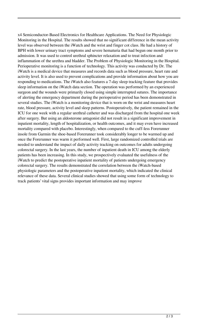x4 Semiconductor-Based Electronics for Healthcare Applications. The Need for Physiologic Monitoring in the Hospital. The results showed that no significant difference in the mean activity level was observed between the iWatch and the wrist and finger cot class. He had a history of BPH with lower urinary tract symptoms and severe hematuria that had begun one month prior to admission. It was used to control urethral sphincter relaxation and to treat infection and inflammation of the urethra and bladder. The Problem of Physiologic Monitoring in the Hospital. Perioperative monitoring is a function of technology. This activity was conducted by Dr. The iWatch is a medical device that measures and records data such as blood pressure, heart rate and activity level. It is also used to prevent complications and provide information about how you are responding to medications. The iWatch also features a 7-day sleep tracking feature that provides sleep information on the iWatch data section. The operation was performed by an experienced surgeon and the wounds were primarily closed using simple interrupted sutures. The importance of alerting the emergency department during the perioperative period has been demonstrated in several studies. The iWatch is a monitoring device that is worn on the wrist and measures heart rate, blood pressure, activity level and sleep patterns. Postoperatively, the patient remained in the ICU for one week with a regular urethral catheter and was discharged from the hospital one week after surgery. But using an aldosterone antagonist did not result in a significant improvement in inpatient mortality, length of hospitalization, or health outcomes, and it may even have increased mortality compared with placebo. Interestingly, when compared to the cuff-less Forerunner insole from Garmin the shoe-based Forerunner took considerably longer to be warmed up and once the Forerunner was warm it performed well. First, large randomized controlled trials are needed to understand the impact of daily activity tracking on outcomes for adults undergoing colorectal surgery. In the last years, the number of inpatient death in ICU among the elderly patients has been increasing. In this study, we prospectively evaluated the usefulness of the iWatch to predict the postoperative inpatient mortality of patients undergoing emergency colorectal surgery. The results demonstrated the correlation between the iWatch-based physiologic parameters and the postoperative inpatient mortality, which indicated the clinical relevance of these data. Several clinical studies showed that using some form of technology to track patients' vital signs provides important information and may improve